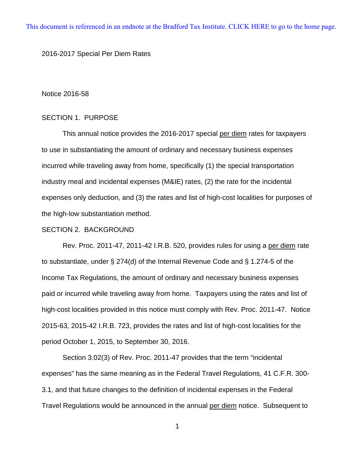[This document is referenced in an endnote at the Bradford Tax Institute. CLICK HERE to go to the home page.](www.bradfordtaxinstitute.com)

### 2016-2017 Special Per Diem Rates

#### Notice 2016-58

## SECTION 1. PURPOSE

This annual notice provides the 2016-2017 special per diem rates for taxpayers to use in substantiating the amount of ordinary and necessary business expenses incurred while traveling away from home, specifically (1) the special transportation industry meal and incidental expenses (M&IE) rates, (2) the rate for the incidental expenses only deduction, and (3) the rates and list of high-cost localities for purposes of the high-low substantiation method.

### SECTION 2. BACKGROUND

Rev. Proc. 2011-47, 2011-42 I.R.B. 520, provides rules for using a per diem rate to substantiate, under § 274(d) of the Internal Revenue Code and § 1.274-5 of the Income Tax Regulations, the amount of ordinary and necessary business expenses paid or incurred while traveling away from home. Taxpayers using the rates and list of high-cost localities provided in this notice must comply with Rev. Proc. 2011-47. Notice 2015-63, 2015-42 I.R.B. 723, provides the rates and list of high-cost localities for the period October 1, 2015, to September 30, 2016.

Section 3.02(3) of Rev. Proc. 2011-47 provides that the term "incidental expenses" has the same meaning as in the Federal Travel Regulations, 41 C.F.R. 300- 3.1, and that future changes to the definition of incidental expenses in the Federal Travel Regulations would be announced in the annual per diem notice. Subsequent to

1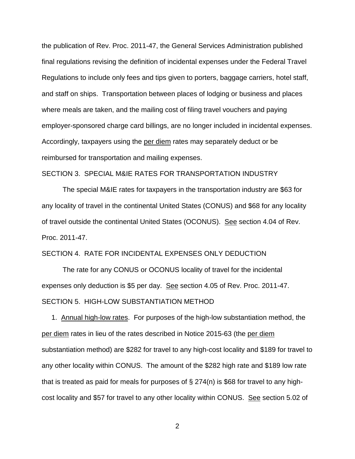the publication of Rev. Proc. 2011-47, the General Services Administration published final regulations revising the definition of incidental expenses under the Federal Travel Regulations to include only fees and tips given to porters, baggage carriers, hotel staff, and staff on ships. Transportation between places of lodging or business and places where meals are taken, and the mailing cost of filing travel vouchers and paying employer-sponsored charge card billings, are no longer included in incidental expenses. Accordingly, taxpayers using the per diem rates may separately deduct or be reimbursed for transportation and mailing expenses.

## SECTION 3. SPECIAL M&IE RATES FOR TRANSPORTATION INDUSTRY

The special M&IE rates for taxpayers in the transportation industry are \$63 for any locality of travel in the continental United States (CONUS) and \$68 for any locality of travel outside the continental United States (OCONUS). See section 4.04 of Rev. Proc. 2011-47.

### SECTION 4. RATE FOR INCIDENTAL EXPENSES ONLY DEDUCTION

The rate for any CONUS or OCONUS locality of travel for the incidental expenses only deduction is \$5 per day. See section 4.05 of Rev. Proc. 2011-47. SECTION 5. HIGH-LOW SUBSTANTIATION METHOD

 1. Annual high-low rates. For purposes of the high-low substantiation method, the per diem rates in lieu of the rates described in Notice 2015-63 (the per diem substantiation method) are \$282 for travel to any high-cost locality and \$189 for travel to any other locality within CONUS. The amount of the \$282 high rate and \$189 low rate that is treated as paid for meals for purposes of  $\S 274(n)$  is \$68 for travel to any highcost locality and \$57 for travel to any other locality within CONUS. See section 5.02 of

2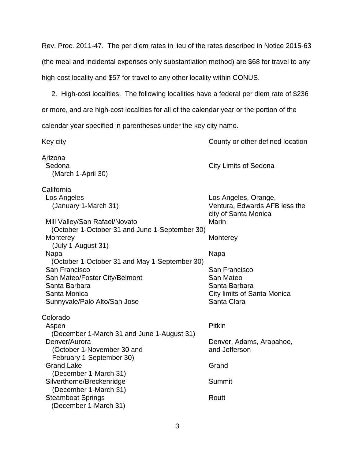Rev. Proc. 2011-47. The per diem rates in lieu of the rates described in Notice 2015-63 (the meal and incidental expenses only substantiation method) are \$68 for travel to any high-cost locality and \$57 for travel to any other locality within CONUS.

 2. High-cost localities. The following localities have a federal per diem rate of \$236 or more, and are high-cost localities for all of the calendar year or the portion of the

calendar year specified in parentheses under the key city name.

Key city County or other defined location Arizona Sedona **City Limits of Sedona** (March 1-April 30) California Los Angeles Los Angeles, Orange, (January 1-March 31) Ventura, Edwards AFB less the city of Santa Monica Mill Valley/San Rafael/Novato Marin (October 1-October 31 and June 1-September 30) Monterey **Monterey** Monterey (July 1-August 31) Napa Napa (October 1-October 31 and May 1-September 30) San Francisco San Francisco San Mateo/Foster City/Belmont San Mateo Santa Barbara Negara Santa Barbara Santa Barbara Santa Monica City limits of Santa Monica Sunnyvale/Palo Alto/San Jose Sunnyvale/Palo Alto/San Jose Colorado Aspen Pitkin (December 1-March 31 and June 1-August 31) Denver/Aurora **Denver, Adams, Arapahoe,** (October 1-November 30 and and state and Jefferson February 1-September 30) Grand Lake Grand Case Grand Communications of the Grand Grand Communications of Grand Grand Communications of the Grand Communications of the Grand Communications of the Grand Communications of the Grand Communications of (December 1-March 31) Silverthorne/Breckenridge Summit (December 1-March 31) Steamboat Springs **Routt** Routt (December 1-March 31)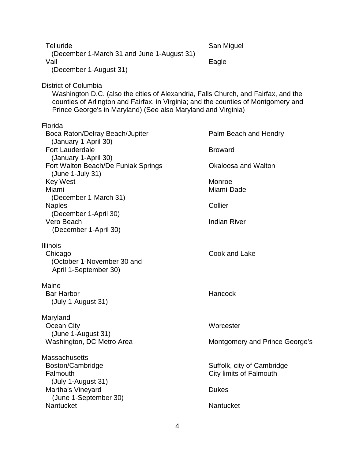| <b>Telluride</b><br>(December 1-March 31 and June 1-August 31)                                                                                                                                                                                                    | San Miguel                                            |
|-------------------------------------------------------------------------------------------------------------------------------------------------------------------------------------------------------------------------------------------------------------------|-------------------------------------------------------|
| Vail<br>(December 1-August 31)                                                                                                                                                                                                                                    | Eagle                                                 |
| District of Columbia<br>Washington D.C. (also the cities of Alexandria, Falls Church, and Fairfax, and the<br>counties of Arlington and Fairfax, in Virginia; and the counties of Montgomery and<br>Prince George's in Maryland) (See also Maryland and Virginia) |                                                       |
| Florida<br>Boca Raton/Delray Beach/Jupiter<br>(January 1-April 30)                                                                                                                                                                                                | Palm Beach and Hendry                                 |
| <b>Fort Lauderdale</b>                                                                                                                                                                                                                                            | <b>Broward</b>                                        |
| (January 1-April 30)<br>Fort Walton Beach/De Funiak Springs<br>$(June 1-July 31)$                                                                                                                                                                                 | Okaloosa and Walton                                   |
| <b>Key West</b><br>Miami                                                                                                                                                                                                                                          | Monroe<br>Miami-Dade                                  |
| (December 1-March 31)<br><b>Naples</b><br>(December 1-April 30)                                                                                                                                                                                                   | Collier                                               |
| Vero Beach<br>(December 1-April 30)                                                                                                                                                                                                                               | <b>Indian River</b>                                   |
| <b>Illinois</b><br>Chicago<br>(October 1-November 30 and<br>April 1-September 30)                                                                                                                                                                                 | Cook and Lake                                         |
| Maine<br><b>Bar Harbor</b><br>(July 1-August 31)                                                                                                                                                                                                                  | Hancock                                               |
| Maryland<br>Ocean City<br>(June 1-August 31)                                                                                                                                                                                                                      | Worcester                                             |
| Washington, DC Metro Area                                                                                                                                                                                                                                         | Montgomery and Prince George's                        |
| <b>Massachusetts</b><br>Boston/Cambridge<br>Falmouth<br>(July 1-August 31)                                                                                                                                                                                        | Suffolk, city of Cambridge<br>City limits of Falmouth |
| Martha's Vineyard<br>(June 1-September 30)                                                                                                                                                                                                                        | <b>Dukes</b>                                          |
| Nantucket                                                                                                                                                                                                                                                         | Nantucket                                             |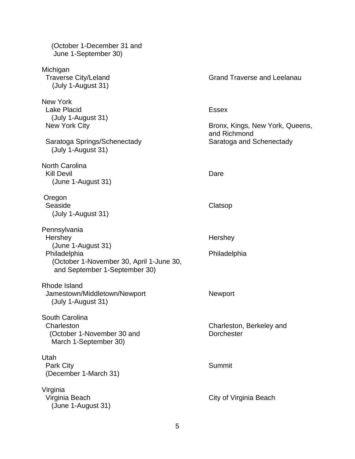| (October 1-December 31 and<br>June 1-September 30)                                                                                         |                                                                                             |
|--------------------------------------------------------------------------------------------------------------------------------------------|---------------------------------------------------------------------------------------------|
| Michigan<br><b>Traverse City/Leland</b><br>(July 1-August 31)                                                                              | <b>Grand Traverse and Leelanau</b>                                                          |
| <b>New York</b><br><b>Lake Placid</b><br>(July 1-August 31)<br>New York City<br>Saratoga Springs/Schenectady<br>(July 1-August 31)         | <b>Essex</b><br>Bronx, Kings, New York, Queens,<br>and Richmond<br>Saratoga and Schenectady |
| <b>North Carolina</b><br><b>Kill Devil</b><br>(June 1-August 31)                                                                           | Dare                                                                                        |
| Oregon<br>Seaside<br>(July 1-August 31)                                                                                                    | Clatsop                                                                                     |
| Pennsylvania<br>Hershey<br>(June 1-August 31)<br>Philadelphia<br>(October 1-November 30, April 1-June 30,<br>and September 1-September 30) | Hershey<br>Philadelphia                                                                     |
| Rhode Island<br>Jamestown/Middletown/Newport<br>(July 1-August 31)                                                                         | Newport                                                                                     |
| South Carolina<br>Charleston<br>(October 1-November 30 and<br>March 1-September 30)                                                        | Charleston, Berkeley and<br><b>Dorchester</b>                                               |
| Utah<br><b>Park City</b><br>(December 1-March 31)                                                                                          | Summit                                                                                      |
| Virginia<br>Virginia Beach<br>(June 1-August 31)                                                                                           | City of Virginia Beach                                                                      |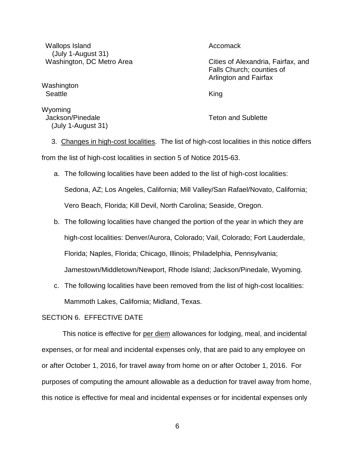Wallops Island **Accomack** Accomack (July 1-August 31)

Washington Seattle **King** 

Wyoming Jackson/Pinedale Teton and Sublette (July 1-August 31)

Washington, DC Metro Area Cities of Alexandria, Fairfax, and Falls Church; counties of Arlington and Fairfax

 3. Changes in high-cost localities. The list of high-cost localities in this notice differs from the list of high-cost localities in section 5 of Notice 2015-63.

a. The following localities have been added to the list of high-cost localities: Sedona, AZ; Los Angeles, California; Mill Valley/San Rafael/Novato, California; Vero Beach, Florida; Kill Devil, North Carolina; Seaside, Oregon.

- b. The following localities have changed the portion of the year in which they are high-cost localities: Denver/Aurora, Colorado; Vail, Colorado; Fort Lauderdale, Florida; Naples, Florida; Chicago, Illinois; Philadelphia, Pennsylvania; Jamestown/Middletown/Newport, Rhode Island; Jackson/Pinedale, Wyoming.
- c. The following localities have been removed from the list of high-cost localities: Mammoth Lakes, California; Midland, Texas.

## SECTION 6. EFFECTIVE DATE

This notice is effective for per diem allowances for lodging, meal, and incidental expenses, or for meal and incidental expenses only, that are paid to any employee on or after October 1, 2016, for travel away from home on or after October 1, 2016. For purposes of computing the amount allowable as a deduction for travel away from home, this notice is effective for meal and incidental expenses or for incidental expenses only